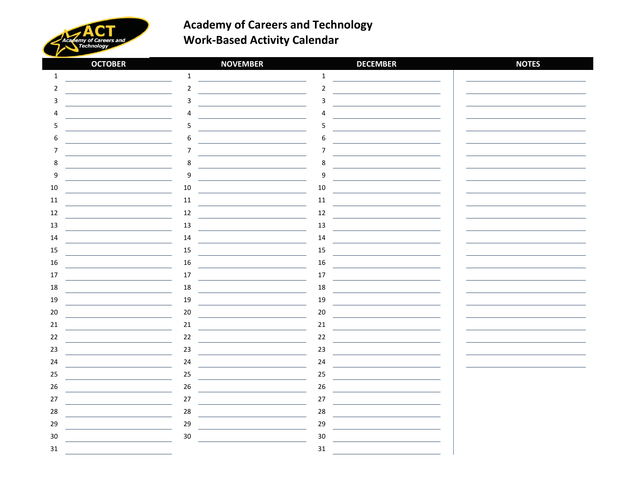

| <b>OCTOBER</b>   | <b>NOVEMBER</b> | <b>DECEMBER</b>  | <b>NOTES</b> |
|------------------|-----------------|------------------|--------------|
| $\mathbf{1}$     | $\mathbf{1}$    | $\mathbf 1$      |              |
| 2                | $\overline{2}$  | $\mathbf 2$      |              |
| 3                | 3               | 3                |              |
| 4                | л               | 4                |              |
| 5                | 5               | 5                |              |
| 6                | 6               | 6                |              |
| 7                | 7               | $\overline{7}$   |              |
| 8                | 8               | 8                |              |
| $\boldsymbol{9}$ | 9               | $\boldsymbol{9}$ |              |
| 10               | $10\,$          | 10               |              |
| 11               | $11\,$          | 11               |              |
| 12               | 12              | 12               |              |
| 13               | 13              | 13               |              |
| 14               | 14              | 14               |              |
| 15               | 15              | 15               |              |
| 16               | 16              | 16               |              |
| $17$             | 17              | $17\,$           |              |
| 18               | 18              | 18               |              |
| 19               | 19              | 19               |              |
| 20               | $20\,$          | 20               |              |
| 21               | $21\,$          | $21\,$           |              |
| 22               | 22              | $22\,$           |              |
| 23               | 23              | 23               |              |
| 24               | 24              | 24               |              |
| 25               | $25\,$          | 25               |              |
| 26               | 26              | 26               |              |
| 27               | $27$            | $27$             |              |
| 28               | 28              | 28               |              |
| 29               | 29              | 29               |              |
| $30\,$           | $30\,$          | $30\,$           |              |
| $31\,$           |                 | $31\,$           |              |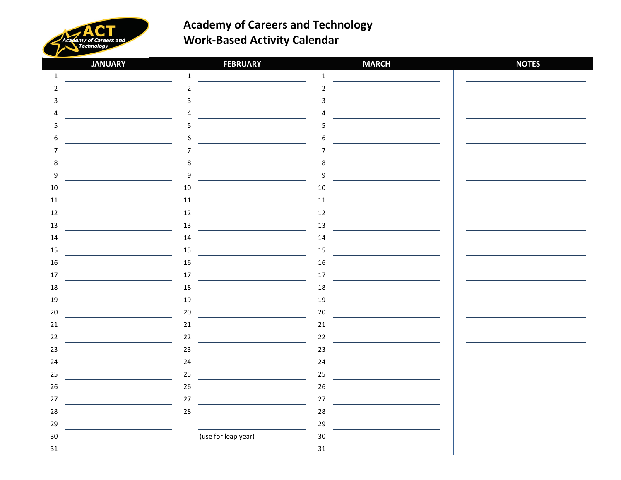

| <b>JANUARY</b> | <b>FEBRUARY</b>     | <b>MARCH</b> | <b>NOTES</b> |
|----------------|---------------------|--------------|--------------|
| $\mathbf{1}$   | $\mathbf{1}$        | $\mathbf 1$  |              |
| $\overline{2}$ | $\overline{2}$      | $\mathbf 2$  |              |
| 3              | 3                   | 3            |              |
| Δ              | $\Delta$            | 4            |              |
| 5              | 5                   | 5            |              |
| 6              | 6                   | 6            |              |
| 7              | 7                   | 7            |              |
| 8              | 8                   | 8            |              |
| 9              | 9                   | 9            |              |
| $10\,$         | 10                  | 10           |              |
| 11             | $11\,$              | 11           |              |
| 12             | 12                  | 12           |              |
| 13             | 13                  | 13           |              |
| 14             | 14                  | 14           |              |
| 15             | 15                  | 15           |              |
| 16             | 16                  | 16           |              |
| 17             | 17                  | 17           |              |
| 18             | 18                  | 18           |              |
| 19             | 19                  | 19           |              |
| 20             | 20                  | 20           |              |
| 21             | $21\,$              | 21           |              |
| $22\,$         | 22                  | 22           |              |
| 23             | 23                  | 23           |              |
| 24             | 24                  | 24           |              |
| 25             | 25                  | 25           |              |
| 26             | 26                  | 26           |              |
| 27             | $27$                | 27           |              |
| 28             | 28                  | 28           |              |
| 29             |                     | 29           |              |
| $30\,$         | (use for leap year) | 30           |              |
| $31\,$         |                     | $31\,$       |              |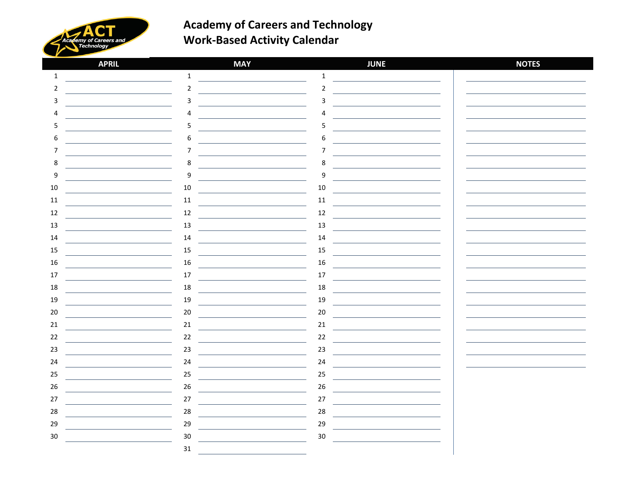

| <b>APRIL</b>     | <b>MAY</b>     | <b>JUNE</b>      | <b>NOTES</b> |
|------------------|----------------|------------------|--------------|
| $\mathbf{1}$     | $\mathbf{1}$   | $\mathbf 1$      |              |
| 2                | $\overline{2}$ | $\mathbf 2$      |              |
| 3                | 3              | $\mathbf{3}$     |              |
| 4                | Δ              | 4                |              |
| 5                | 5              | 5                |              |
| 6                | 6              | 6                |              |
| 7                | 7              | $\overline{7}$   |              |
| 8                | 8              | 8                |              |
| $\boldsymbol{9}$ | 9              | $\boldsymbol{9}$ |              |
| 10               | $10\,$         | 10               |              |
| 11               | $11\,$         | 11               |              |
| 12               | $12\,$         | 12               |              |
| 13               | 13             | 13               |              |
| 14               | 14             | 14               |              |
| 15               | 15             | 15               |              |
| 16               | 16             | 16               |              |
| 17               | 17             | 17               |              |
| 18               | 18             | 18               |              |
| 19               | 19             | 19               |              |
| 20               | 20             | $20\,$           |              |
| 21               | $21\,$         | 21               |              |
| 22               | 22             | 22               |              |
| 23               | 23             | 23               |              |
| 24               | 24             | 24               |              |
| 25               | 25             | 25               |              |
| 26               | 26             | $26\,$           |              |
| 27               | $27$           | 27               |              |
| 28               | 28             | 28               |              |
| 29               | 29             | 29               |              |
| $30\,$           | 30             | $30\,$           |              |
|                  | 31             |                  |              |